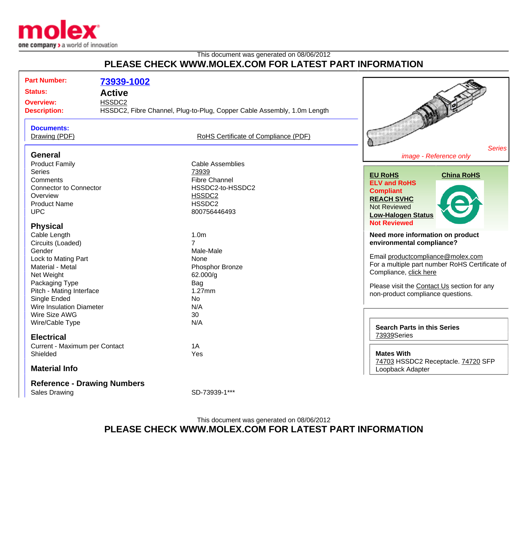

## This document was generated on 08/06/2012 **PLEASE CHECK WWW.MOLEX.COM FOR LATEST PART INFORMATION**

| <b>Part Number:</b><br><b>Status:</b><br><b>Overview:</b><br><b>Description:</b>                                                                                                      | 73939-1002<br><b>Active</b><br>HSSDC2<br>HSSDC2, Fibre Channel, Plug-to-Plug, Copper Cable Assembly, 1.0m Length             |                                                                                                                                                                                                                                                                    |
|---------------------------------------------------------------------------------------------------------------------------------------------------------------------------------------|------------------------------------------------------------------------------------------------------------------------------|--------------------------------------------------------------------------------------------------------------------------------------------------------------------------------------------------------------------------------------------------------------------|
| <b>Documents:</b><br>Drawing (PDF)                                                                                                                                                    | RoHS Certificate of Compliance (PDF)                                                                                         | <b>Series</b>                                                                                                                                                                                                                                                      |
| <b>General</b><br><b>Product Family</b><br><b>Series</b><br>Comments<br><b>Connector to Connector</b><br>Overview<br><b>Product Name</b><br><b>UPC</b>                                | <b>Cable Assemblies</b><br>73939<br><b>Fibre Channel</b><br>HSSDC2-to-HSSDC2<br>HSSDC2<br>HSSDC <sub>2</sub><br>800756446493 | image - Reference only<br><b>EU RoHS</b><br><b>China RoHS</b><br><b>ELV and RoHS</b><br><b>Compliant</b><br><b>REACH SVHC</b><br><b>Not Reviewed</b><br><b>Low-Halogen Status</b><br><b>Not Reviewed</b>                                                           |
| <b>Physical</b><br>Cable Length<br>Circuits (Loaded)<br>Gender<br>Lock to Mating Part<br>Material - Metal<br>Net Weight<br>Packaging Type<br>Pitch - Mating Interface<br>Single Ended | 1.0 <sub>m</sub><br>$\overline{7}$<br>Male-Male<br>None<br>Phosphor Bronze<br>62.000/g<br>Bag<br>$1.27$ mm<br>No             | Need more information on product<br>environmental compliance?<br>Email productcompliance@molex.com<br>For a multiple part number RoHS Certificate of<br>Compliance, click here<br>Please visit the Contact Us section for any<br>non-product compliance questions. |
| Wire Insulation Diameter<br>Wire Size AWG<br>Wire/Cable Type<br><b>Electrical</b><br>Current - Maximum per Contact<br>Shielded<br><b>Material Info</b>                                | N/A<br>30<br>N/A<br>1A<br>Yes                                                                                                | <b>Search Parts in this Series</b><br>73939Series<br><b>Mates With</b><br>74703 HSSDC2 Receptacle. 74720 SFP<br>Loopback Adapter                                                                                                                                   |
| <b>Reference - Drawing Numbers</b><br><b>Sales Drawing</b>                                                                                                                            | SD-73939-1***                                                                                                                |                                                                                                                                                                                                                                                                    |

## This document was generated on 08/06/2012 **PLEASE CHECK WWW.MOLEX.COM FOR LATEST PART INFORMATION**